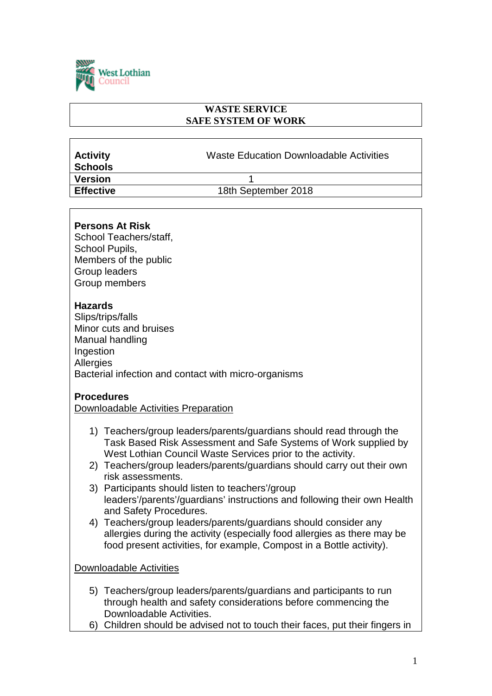

### **WASTE SERVICE SAFE SYSTEM OF WORK**

| <b>Activity</b><br><b>Schools</b> | <b>Waste Education Downloadable Activities</b> |
|-----------------------------------|------------------------------------------------|
| <b>Version</b>                    |                                                |
| <b>Effective</b>                  | 18th September 2018                            |

#### **Persons At Risk**

School Teachers/staff, School Pupils, Members of the public Group leaders Group members

#### **Hazards**

Slips/trips/falls Minor cuts and bruises Manual handling **Ingestion Allergies** Bacterial infection and contact with micro-organisms

### **Procedures**

Downloadable Activities Preparation

- 1) Teachers/group leaders/parents/guardians should read through the Task Based Risk Assessment and Safe Systems of Work supplied by West Lothian Council Waste Services prior to the activity.
- 2) Teachers/group leaders/parents/guardians should carry out their own risk assessments.
- 3) Participants should listen to teachers'/group leaders'/parents'/guardians' instructions and following their own Health and Safety Procedures.
- 4) Teachers/group leaders/parents/guardians should consider any allergies during the activity (especially food allergies as there may be food present activities, for example, Compost in a Bottle activity).

### Downloadable Activities

- 5) Teachers/group leaders/parents/guardians and participants to run through health and safety considerations before commencing the Downloadable Activities.
- 6) Children should be advised not to touch their faces, put their fingers in